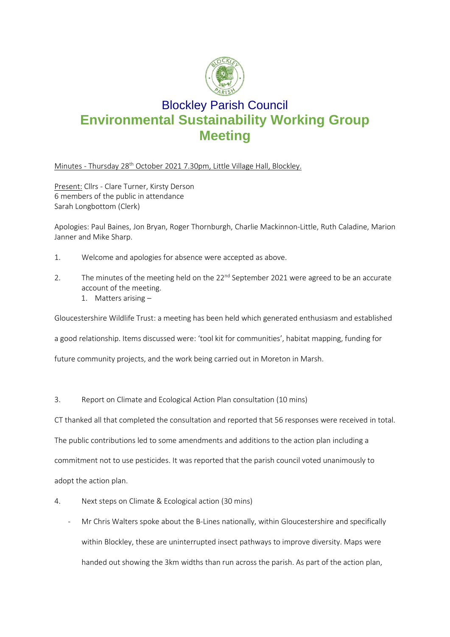

## Blockley Parish Council **Environmental Sustainability Working Group Meeting**

Minutes - Thursday 28<sup>th</sup> October 2021 7.30pm, Little Village Hall, Blockley.

Present: Cllrs - Clare Turner, Kirsty Derson 6 members of the public in attendance Sarah Longbottom (Clerk)

Apologies: Paul Baines, Jon Bryan, Roger Thornburgh, Charlie Mackinnon-Little, Ruth Caladine, Marion Janner and Mike Sharp.

- 1. Welcome and apologies for absence were accepted as above.
- 2. The minutes of the meeting held on the  $22<sup>nd</sup>$  September 2021 were agreed to be an accurate account of the meeting.
	- 1. Matters arising –

Gloucestershire Wildlife Trust: a meeting has been held which generated enthusiasm and established

a good relationship. Items discussed were: 'tool kit for communities', habitat mapping, funding for

future community projects, and the work being carried out in Moreton in Marsh.

3. Report on Climate and Ecological Action Plan consultation (10 mins)

CT thanked all that completed the consultation and reported that 56 responses were received in total.

The public contributions led to some amendments and additions to the action plan including a

commitment not to use pesticides. It was reported that the parish council voted unanimously to

adopt the action plan.

- 4. Next steps on Climate & Ecological action (30 mins)
	- Mr Chris Walters spoke about the B-Lines nationally, within Gloucestershire and specifically within Blockley, these are uninterrupted insect pathways to improve diversity. Maps were handed out showing the 3km widths than run across the parish. As part of the action plan,